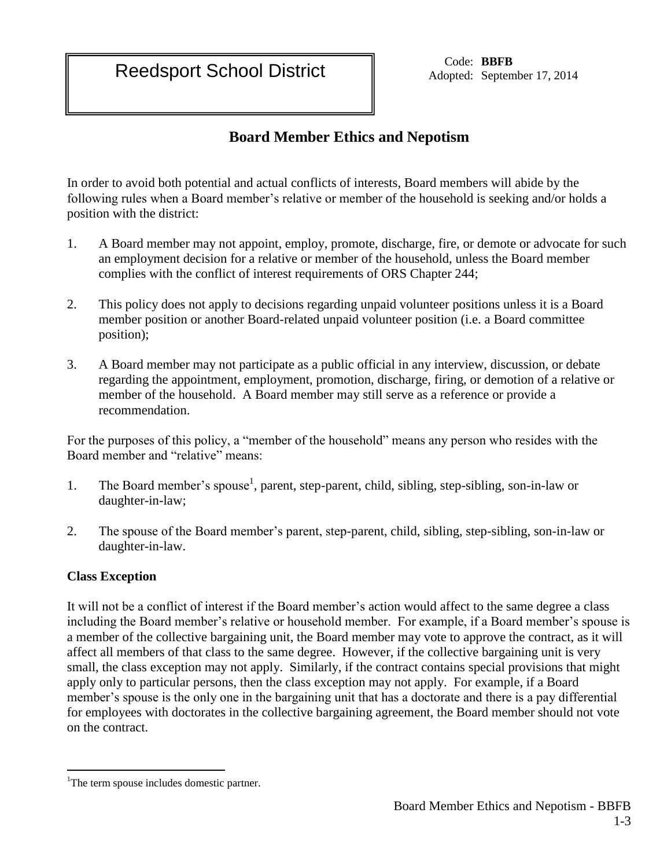Reedsport School District Code: BBFB<br>
Reedsport School District Adopted: Septem

Adopted: September 17, 2014

## **Board Member Ethics and Nepotism**

In order to avoid both potential and actual conflicts of interests, Board members will abide by the following rules when a Board member's relative or member of the household is seeking and/or holds a position with the district:

- 1. A Board member may not appoint, employ, promote, discharge, fire, or demote or advocate for such an employment decision for a relative or member of the household, unless the Board member complies with the conflict of interest requirements of ORS Chapter 244;
- 2. This policy does not apply to decisions regarding unpaid volunteer positions unless it is a Board member position or another Board-related unpaid volunteer position (i.e. a Board committee position);
- 3. A Board member may not participate as a public official in any interview, discussion, or debate regarding the appointment, employment, promotion, discharge, firing, or demotion of a relative or member of the household. A Board member may still serve as a reference or provide a recommendation.

For the purposes of this policy, a "member of the household" means any person who resides with the Board member and "relative" means:

- 1. The Board member's spouse<sup>1</sup>, parent, step-parent, child, sibling, step-sibling, son-in-law or daughter-in-law;
- 2. The spouse of the Board member's parent, step-parent, child, sibling, step-sibling, son-in-law or daughter-in-law.

## **Class Exception**

 $\overline{a}$ 

It will not be a conflict of interest if the Board member's action would affect to the same degree a class including the Board member's relative or household member. For example, if a Board member's spouse is a member of the collective bargaining unit, the Board member may vote to approve the contract, as it will affect all members of that class to the same degree. However, if the collective bargaining unit is very small, the class exception may not apply. Similarly, if the contract contains special provisions that might apply only to particular persons, then the class exception may not apply. For example, if a Board member's spouse is the only one in the bargaining unit that has a doctorate and there is a pay differential for employees with doctorates in the collective bargaining agreement, the Board member should not vote on the contract.

<sup>&</sup>lt;sup>1</sup>The term spouse includes domestic partner.